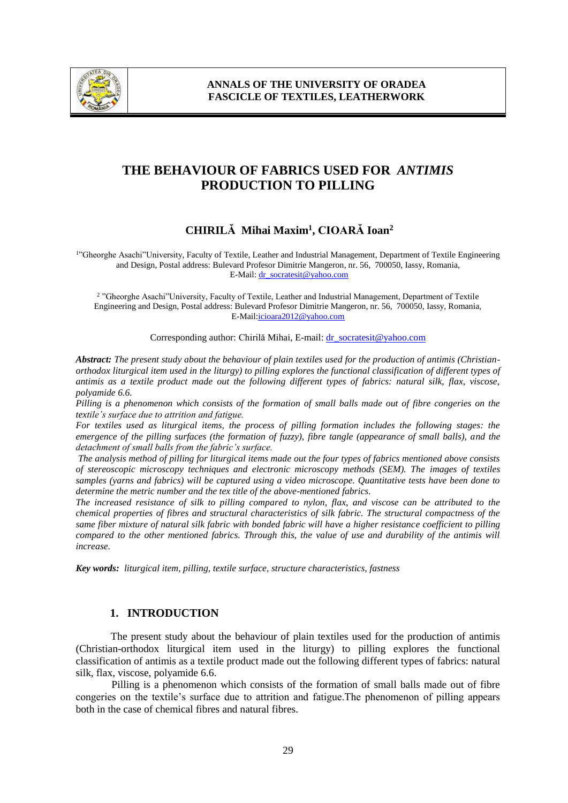

# **THE BEHAVIOUR OF FABRICS USED FOR** *ANTIMIS* **PRODUCTION TO PILLING**

# **CHIRILĂ Mihai Maxim<sup>1</sup> , CIOARĂ Ioan<sup>2</sup>**

1 "Gheorghe Asachi"University, Faculty of Textile, Leather and Industrial Management, Department of Textile Engineering and Design, Postal address: Bulevard Profesor Dimitrie Mangeron, nr. 56, 700050, Iassy, Romania, E-Mail: [dr\\_socratesit@yahoo.com](mailto:dr_socratesit@yahoo.com)

2 "Gheorghe Asachi"University, Faculty of Textile, Leather and Industrial Management, Department of Textile Engineering and Design, Postal address: Bulevard Profesor Dimitrie Mangeron, nr. 56, 700050, Iassy, Romania, E-Mail:icioara2012@yahoo.com

Corresponding author: Chirilă Mihai, E-mail: dr\_socratesit@yahoo.com

*Abstract: The present study about the behaviour of plain textiles used for the production of antimis (Christianorthodox liturgical item used in the liturgy) to pilling explores the functional classification of different types of antimis as a textile product made out the following different types of fabrics: natural silk, flax, viscose, polyamide 6.6.* 

*Pilling is a phenomenon which consists of the formation of small balls made out of fibre congeries on the textile's surface due to attrition and fatigue.* 

*For textiles used as liturgical items, the process of pilling formation includes the following stages: the emergence of the pilling surfaces (the formation of fuzzy), fibre tangle (appearance of small balls), and the detachment of small balls from the fabric's surface.*

*The analysis method of pilling for liturgical items made out the four types of fabrics mentioned above consists of stereoscopic microscopy techniques and electronic microscopy methods (SEM). The images of textiles samples (yarns and fabrics) will be captured using a video microscope. Quantitative tests have been done to determine the metric number and the tex title of the above-mentioned fabrics.* 

*The increased resistance of silk to pilling compared to nylon, flax, and viscose can be attributed to the chemical properties of fibres and structural characteristics of silk fabric. The structural compactness of the same fiber mixture of natural silk fabric with bonded fabric will have a higher resistance coefficient to pilling compared to the other mentioned fabrics. Through this, the value of use and durability of the antimis will increase.*

*Key words: liturgical item, pilling, textile surface, structure characteristics, fastness* 

### **1. INTRODUCTION**

The present study about the behaviour of plain textiles used for the production of antimis (Christian-orthodox liturgical item used in the liturgy) to pilling explores the functional classification of antimis as a textile product made out the following different types of fabrics: natural silk, flax, viscose, polyamide 6.6.

Pilling is a phenomenon which consists of the formation of small balls made out of fibre congeries on the textile's surface due to attrition and fatigue.The phenomenon of pilling appears both in the case of chemical fibres and natural fibres.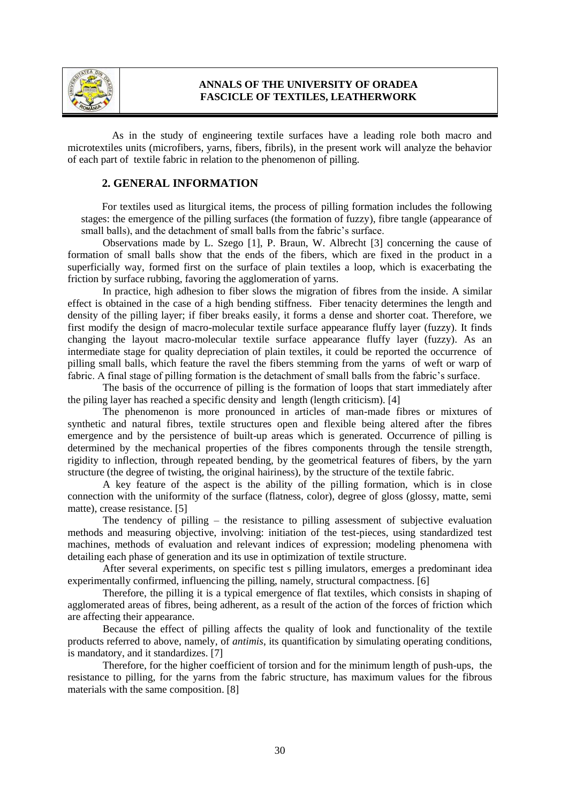

As in the study of engineering textile surfaces have a leading role both macro and microtextiles units (microfibers, yarns, fibers, fibrils), in the present work will analyze the behavior of each part of textile fabric in relation to the phenomenon of pilling.

### **2. GENERAL INFORMATION**

For textiles used as liturgical items, the process of pilling formation includes the following stages: the emergence of the pilling surfaces (the formation of fuzzy), fibre tangle (appearance of small balls), and the detachment of small balls from the fabric's surface.

Observations made by L. Szego [1], P. Braun, W. Albrecht [3] concerning the cause of formation of small balls show that the ends of the fibers, which are fixed in the product in a superficially way, formed first on the surface of plain textiles a loop, which is exacerbating the friction by surface rubbing, favoring the agglomeration of yarns.

In practice, high adhesion to fiber slows the migration of fibres from the inside. A similar effect is obtained in the case of a high bending stiffness. Fiber tenacity determines the length and density of the pilling layer; if fiber breaks easily, it forms a dense and shorter coat. Therefore, we first modify the design of macro-molecular textile surface appearance fluffy layer (fuzzy). It finds changing the layout macro-molecular textile surface appearance fluffy layer (fuzzy). As an intermediate stage for quality depreciation of plain textiles, it could be reported the occurrence of pilling small balls, which feature the ravel the fibers stemming from the yarns of weft or warp of fabric. A final stage of pilling formation is the detachment of small balls from the fabric's surface.

The basis of the occurrence of pilling is the formation of loops that start immediately after the piling layer has reached a specific density and length (length criticism). [4]

The phenomenon is more pronounced in articles of man-made fibres or mixtures of synthetic and natural fibres, textile structures open and flexible being altered after the fibres emergence and by the persistence of built-up areas which is generated. Occurrence of pilling is determined by the mechanical properties of the fibres components through the tensile strength, rigidity to inflection, through repeated bending, by the geometrical features of fibers, by the yarn structure (the degree of twisting, the original hairiness), by the structure of the textile fabric.

A key feature of the aspect is the ability of the pilling formation, which is in close connection with the uniformity of the surface (flatness, color), degree of gloss (glossy, matte, semi matte), crease resistance. [5]

The tendency of pilling – the resistance to pilling assessment of subjective evaluation methods and measuring objective, involving: initiation of the test-pieces, using standardized test machines, methods of evaluation and relevant indices of expression; modeling phenomena with detailing each phase of generation and its use in optimization of textile structure.

After several experiments, on specific test s pilling imulators, emerges a predominant idea experimentally confirmed, influencing the pilling, namely, structural compactness. [6]

Therefore, the pilling it is a typical emergence of flat textiles, which consists in shaping of agglomerated areas of fibres, being adherent, as a result of the action of the forces of friction which are affecting their appearance.

Because the effect of pilling affects the quality of look and functionality of the textile products referred to above, namely, of *antimis*, its quantification by simulating operating conditions, is mandatory, and it standardizes. [7]

Therefore, for the higher coefficient of torsion and for the minimum length of push-ups, the resistance to pilling, for the yarns from the fabric structure, has maximum values for the fibrous materials with the same composition. [8]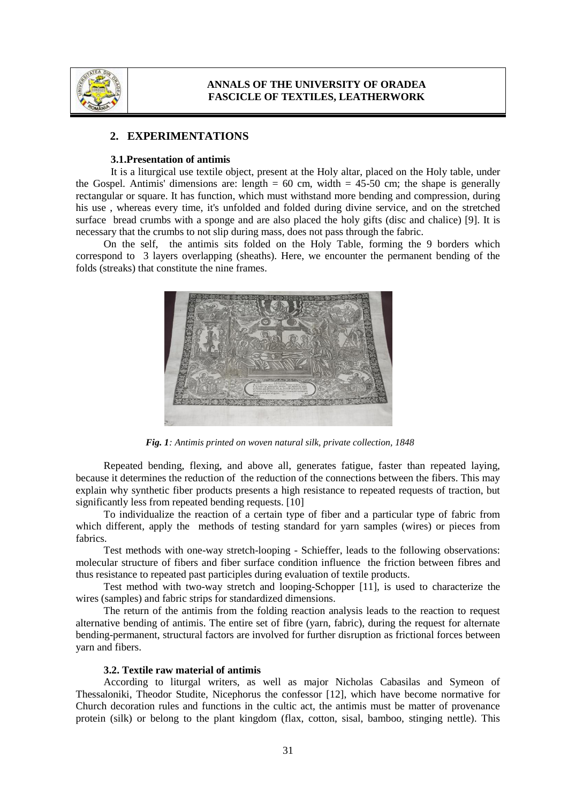

### **2. EXPERIMENTATIONS**

#### **3.1.Presentation of antimis**

It is a liturgical use textile object, present at the Holy altar, placed on the Holy table, under the Gospel. Antimis' dimensions are: length =  $60 \text{ cm}$ , width =  $45-50 \text{ cm}$ ; the shape is generally rectangular or square. It has function, which must withstand more bending and compression, during his use , whereas every time, it's unfolded and folded during divine service, and on the stretched surface bread crumbs with a sponge and are also placed the holy gifts (disc and chalice) [9]. It is necessary that the crumbs to not slip during mass, does not pass through the fabric.

On the self, the antimis sits folded on the Holy Table, forming the 9 borders which correspond to 3 layers overlapping (sheaths). Here, we encounter the permanent bending of the folds (streaks) that constitute the nine frames.



*Fig. 1: Antimis printed on woven natural silk, private collection, 1848*

Repeated bending, flexing, and above all, generates fatigue, faster than repeated laying, because it determines the reduction of the reduction of the connections between the fibers. This may explain why synthetic fiber products presents a high resistance to repeated requests of traction, but significantly less from repeated bending requests. [10]

To individualize the reaction of a certain type of fiber and a particular type of fabric from which different, apply the methods of testing standard for yarn samples (wires) or pieces from fabrics.

Test methods with one-way stretch-looping - Schieffer, leads to the following observations: molecular structure of fibers and fiber surface condition influence the friction between fibres and thus resistance to repeated past participles during evaluation of textile products.

Test method with two-way stretch and looping-Schopper [11], is used to characterize the wires (samples) and fabric strips for standardized dimensions.

The return of the antimis from the folding reaction analysis leads to the reaction to request alternative bending of antimis. The entire set of fibre (yarn, fabric), during the request for alternate bending-permanent, structural factors are involved for further disruption as frictional forces between yarn and fibers.

#### **3.2. Textile raw material of antimis**

According to liturgal writers, as well as major Nicholas Cabasilas and Symeon of Thessaloniki, Theodor Studite, Nicephorus the confessor [12], which have become normative for Church decoration rules and functions in the cultic act, the antimis must be matter of provenance protein (silk) or belong to the plant kingdom (flax, cotton, sisal, bamboo, stinging nettle). This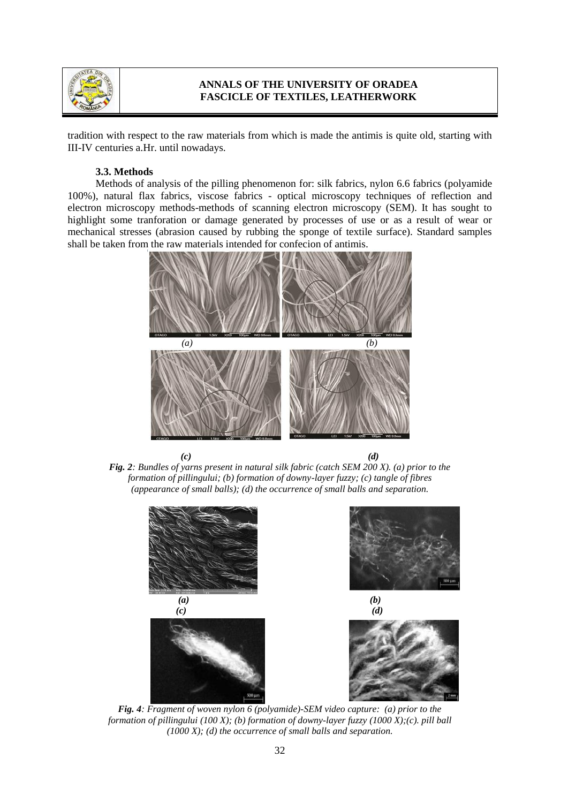

tradition with respect to the raw materials from which is made the antimis is quite old, starting with III-IV centuries a.Hr. until nowadays.

#### **3.3. Methods**

Methods of analysis of the pilling phenomenon for: silk fabrics, nylon 6.6 fabrics (polyamide 100%), natural flax fabrics, viscose fabrics - optical microscopy techniques of reflection and electron microscopy methods-methods of scanning electron microscopy (SEM). It has sought to highlight some tranforation or damage generated by processes of use or as a result of wear or mechanical stresses (abrasion caused by rubbing the sponge of textile surface). Standard samples shall be taken from the raw materials intended for confecion of antimis.







*Fig. 4: Fragment of woven nylon 6 (polyamide)-SEM video capture: (a) prior to the formation of pillingului (100 X); (b) formation of downy-layer fuzzy (1000 X);(c). pill ball (1000 X); (d) the occurrence of small balls and separation.*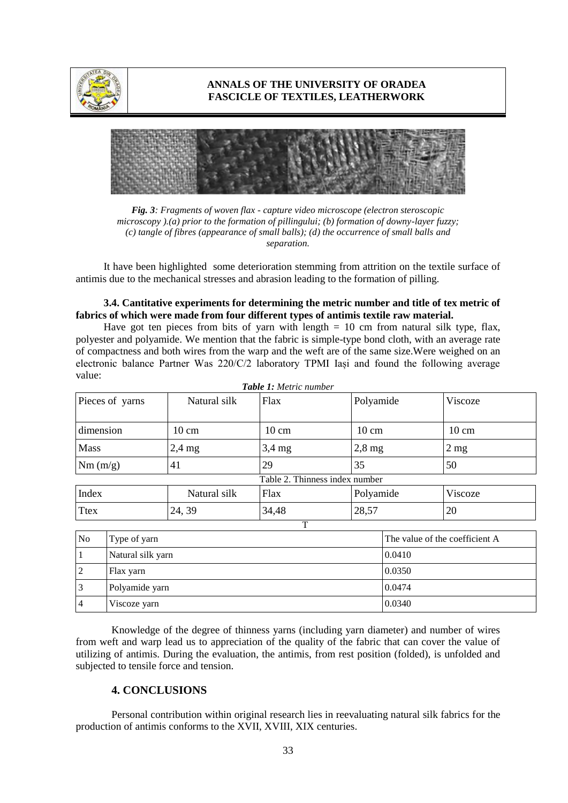



*Fig. 3: Fragments of woven flax - capture video microscope (electron steroscopic microscopy ).(a) prior to the formation of pillingului; (b) formation of downy-layer fuzzy; (c) tangle of fibres (appearance of small balls); (d) the occurrence of small balls and separation.*

It have been highlighted some deterioration stemming from attrition on the textile surface of antimis due to the mechanical stresses and abrasion leading to the formation of pilling.

### **3.4. Cantitative experiments for determining the metric number and title of tex metric of fabrics of which were made from four different types of antimis textile raw material.**

Have got ten pieces from bits of yarn with length  $= 10$  cm from natural silk type, flax, polyester and polyamide. We mention that the fabric is simple-type bond cloth, with an average rate of compactness and both wires from the warp and the weft are of the same size.Were weighed on an electronic balance Partner Was 220/C/2 laboratory TPMI Iași and found the following average value: *Table 1: Metric number*

| <b>Tuble 1.</b> McMe Mandel    |                 |                 |                 |                 |  |  |
|--------------------------------|-----------------|-----------------|-----------------|-----------------|--|--|
| Pieces of yarns                | Natural silk    | Flax            | Polyamide       | Viscoze         |  |  |
| dimension                      | $10 \text{ cm}$ | $10 \text{ cm}$ | $10 \text{ cm}$ | $10 \text{ cm}$ |  |  |
| <b>Mass</b>                    | $2,4$ mg        | $3,4$ mg        | $2,8$ mg        | $2 \text{ mg}$  |  |  |
| Nm(m/g)                        | 41              | 29              | 35              | 50              |  |  |
| Table 2. Thinness index number |                 |                 |                 |                 |  |  |
| Index                          | Natural silk    | Flax            | Polyamide       | Viscoze         |  |  |
| <b>Ttex</b>                    | 24, 39          | 34,48           | 28,57           | 20              |  |  |

| No             | Type of yarn      | The value of the coefficient A |  |  |
|----------------|-------------------|--------------------------------|--|--|
|                | Natural silk yarn | 0.0410                         |  |  |
| 2              | Flax yarn         | 0.0350                         |  |  |
| 3              | Polyamide yarn    | 0.0474                         |  |  |
| $\overline{4}$ | Viscoze yarn      | 0.0340                         |  |  |

 $\overline{T}$ 

Knowledge of the degree of thinness yarns (including yarn diameter) and number of wires from weft and warp lead us to appreciation of the quality of the fabric that can cover the value of utilizing of antimis. During the evaluation, the antimis, from rest position (folded), is unfolded and subjected to tensile force and tension.

### **4. CONCLUSIONS**

Personal contribution within original research lies in reevaluating natural silk fabrics for the production of antimis conforms to the XVII, XVIII, XIX centuries.